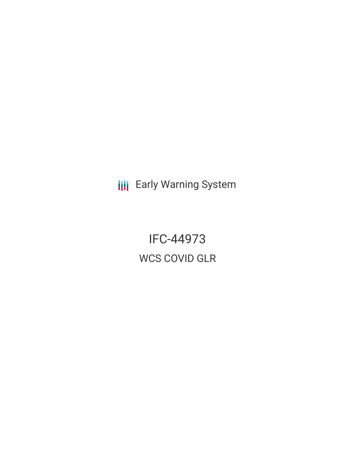**III** Early Warning System

IFC-44973 WCS COVID GLR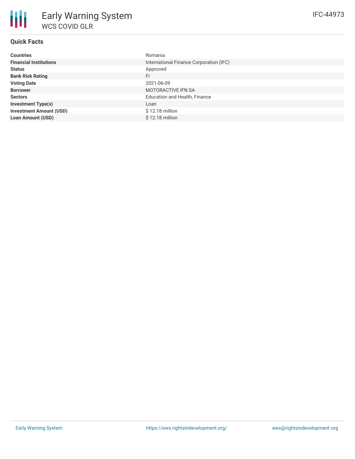# **Quick Facts**

| <b>Countries</b>               | Romania                                 |
|--------------------------------|-----------------------------------------|
| <b>Financial Institutions</b>  | International Finance Corporation (IFC) |
| <b>Status</b>                  | Approved                                |
| <b>Bank Risk Rating</b>        | FI                                      |
| <b>Voting Date</b>             | 2021-06-09                              |
| <b>Borrower</b>                | <b>MOTORACTIVE IFN SA</b>               |
| <b>Sectors</b>                 | Education and Health, Finance           |
| <b>Investment Type(s)</b>      | Loan                                    |
| <b>Investment Amount (USD)</b> | $$12.18$ million                        |
| <b>Loan Amount (USD)</b>       | \$12.18 million                         |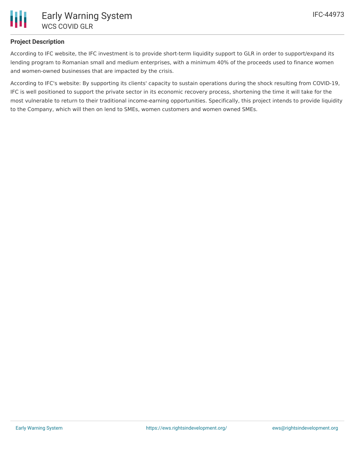

## **Project Description**

According to IFC website, the IFC investment is to provide short-term liquidity support to GLR in order to support/expand its lending program to Romanian small and medium enterprises, with a minimum 40% of the proceeds used to finance women and women-owned businesses that are impacted by the crisis.

According to IFC's website: By supporting its clients' capacity to sustain operations during the shock resulting from COVID-19, IFC is well positioned to support the private sector in its economic recovery process, shortening the time it will take for the most vulnerable to return to their traditional income-earning opportunities. Specifically, this project intends to provide liquidity to the Company, which will then on lend to SMEs, women customers and women owned SMEs.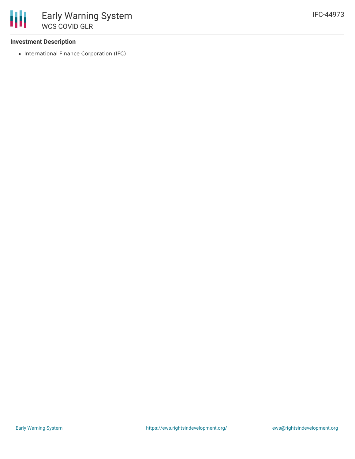### **Investment Description**

• International Finance Corporation (IFC)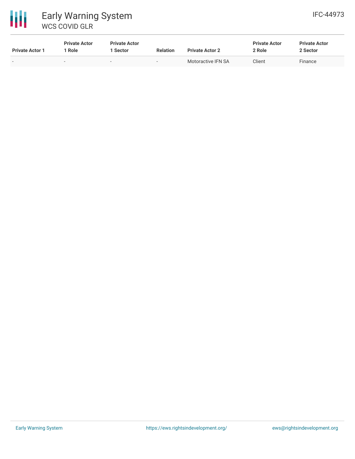

| <b>Private Actor 1</b>   | <b>Private Actor</b><br>Role | <b>Private Actor</b><br>Sector | <b>Relation</b> | <b>Private Actor 2</b> | <b>Private Actor</b><br>2 Role | <b>Private Actor</b><br>2 Sector |
|--------------------------|------------------------------|--------------------------------|-----------------|------------------------|--------------------------------|----------------------------------|
| $\overline{\phantom{0}}$ | $\sim$                       | $\sim$                         | $\sim$          | Motoractive IFN SA     | Client                         | Finance                          |